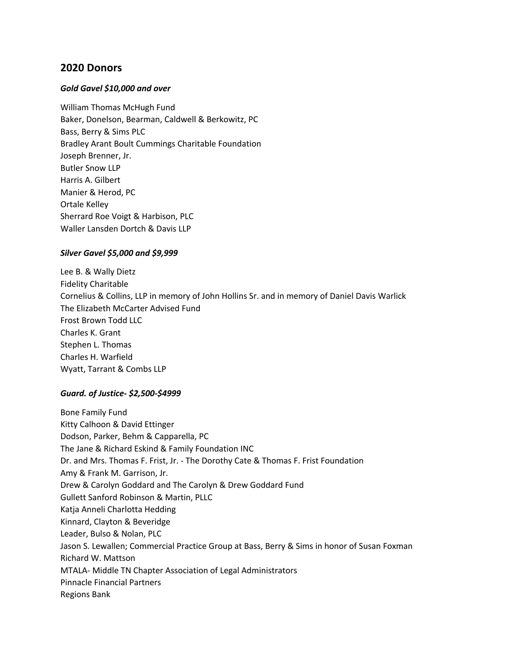# **2020 Donors**

## *Gold Gavel \$10,000 and over*

William Thomas McHugh Fund Baker, Donelson, Bearman, Caldwell & Berkowitz, PC Bass, Berry & Sims PLC Bradley Arant Boult Cummings Charitable Foundation Joseph Brenner, Jr. Butler Snow LLP Harris A. Gilbert Manier & Herod, PC Ortale Kelley Sherrard Roe Voigt & Harbison, PLC Waller Lansden Dortch & Davis LLP

## *Silver Gavel \$5,000 and \$9,999*

Lee B. & Wally Dietz Fidelity Charitable Cornelius & Collins, LLP in memory of John Hollins Sr. and in memory of Daniel Davis Warlick The Elizabeth McCarter Advised Fund Frost Brown Todd LLC Charles K. Grant Stephen L. Thomas Charles H. Warfield Wyatt, Tarrant & Combs LLP

## *Guard. of Justice- \$2,500-\$4999*

Bone Family Fund Kitty Calhoon & David Ettinger Dodson, Parker, Behm & Capparella, PC The Jane & Richard Eskind & Family Foundation INC Dr. and Mrs. Thomas F. Frist, Jr. - The Dorothy Cate & Thomas F. Frist Foundation Amy & Frank M. Garrison, Jr. Drew & Carolyn Goddard and The Carolyn & Drew Goddard Fund Gullett Sanford Robinson & Martin, PLLC Katja Anneli Charlotta Hedding Kinnard, Clayton & Beveridge Leader, Bulso & Nolan, PLC Jason S. Lewallen; Commercial Practice Group at Bass, Berry & Sims in honor of Susan Foxman Richard W. Mattson MTALA- Middle TN Chapter Association of Legal Administrators Pinnacle Financial Partners Regions Bank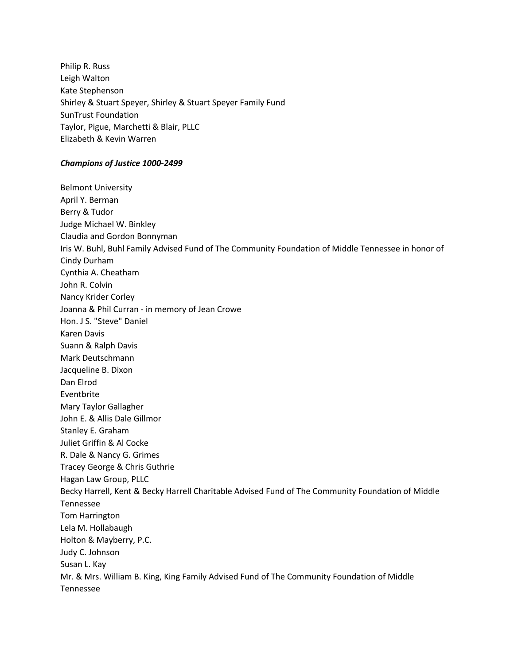Philip R. Russ Leigh Walton Kate Stephenson Shirley & Stuart Speyer, Shirley & Stuart Speyer Family Fund SunTrust Foundation Taylor, Pigue, Marchetti & Blair, PLLC Elizabeth & Kevin Warren

### *Champions of Justice 1000-2499*

Belmont University April Y. Berman Berry & Tudor Judge Michael W. Binkley Claudia and Gordon Bonnyman Iris W. Buhl, Buhl Family Advised Fund of The Community Foundation of Middle Tennessee in honor of Cindy Durham Cynthia A. Cheatham John R. Colvin Nancy Krider Corley Joanna & Phil Curran - in memory of Jean Crowe Hon. J S. "Steve" Daniel Karen Davis Suann & Ralph Davis Mark Deutschmann Jacqueline B. Dixon Dan Elrod Eventbrite Mary Taylor Gallagher John E. & Allis Dale Gillmor Stanley E. Graham Juliet Griffin & Al Cocke R. Dale & Nancy G. Grimes Tracey George & Chris Guthrie Hagan Law Group, PLLC Becky Harrell, Kent & Becky Harrell Charitable Advised Fund of The Community Foundation of Middle Tennessee Tom Harrington Lela M. Hollabaugh Holton & Mayberry, P.C. Judy C. Johnson Susan L. Kay Mr. & Mrs. William B. King, King Family Advised Fund of The Community Foundation of Middle Tennessee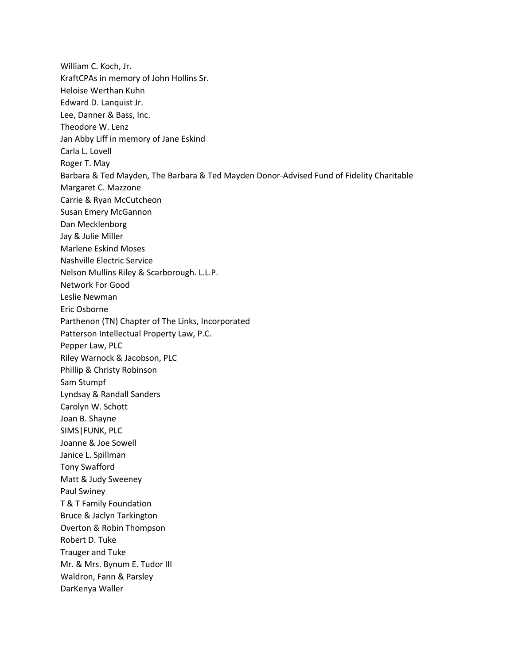William C. Koch, Jr. KraftCPAs in memory of John Hollins Sr. Heloise Werthan Kuhn Edward D. Lanquist Jr. Lee, Danner & Bass, Inc. Theodore W. Lenz Jan Abby Liff in memory of Jane Eskind Carla L. Lovell Roger T. May Barbara & Ted Mayden, The Barbara & Ted Mayden Donor-Advised Fund of Fidelity Charitable Margaret C. Mazzone Carrie & Ryan McCutcheon Susan Emery McGannon Dan Mecklenborg Jay & Julie Miller Marlene Eskind Moses Nashville Electric Service Nelson Mullins Riley & Scarborough. L.L.P. Network For Good Leslie Newman Eric Osborne Parthenon (TN) Chapter of The Links, Incorporated Patterson Intellectual Property Law, P.C. Pepper Law, PLC Riley Warnock & Jacobson, PLC Phillip & Christy Robinson Sam Stumpf Lyndsay & Randall Sanders Carolyn W. Schott Joan B. Shayne SIMS|FUNK, PLC Joanne & Joe Sowell Janice L. Spillman Tony Swafford Matt & Judy Sweeney Paul Swiney T & T Family Foundation Bruce & Jaclyn Tarkington Overton & Robin Thompson Robert D. Tuke Trauger and Tuke Mr. & Mrs. Bynum E. Tudor III Waldron, Fann & Parsley DarKenya Waller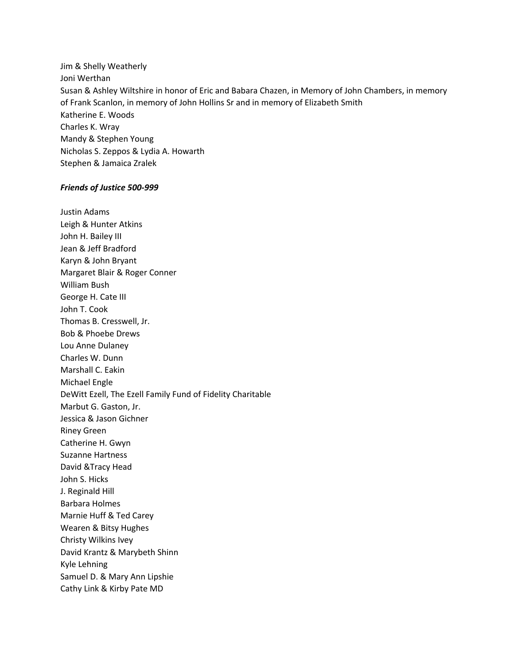Jim & Shelly Weatherly Joni Werthan Susan & Ashley Wiltshire in honor of Eric and Babara Chazen, in Memory of John Chambers, in memory of Frank Scanlon, in memory of John Hollins Sr and in memory of Elizabeth Smith Katherine E. Woods Charles K. Wray Mandy & Stephen Young Nicholas S. Zeppos & Lydia A. Howarth Stephen & Jamaica Zralek

### *Friends of Justice 500-999*

Justin Adams Leigh & Hunter Atkins John H. Bailey III Jean & Jeff Bradford Karyn & John Bryant Margaret Blair & Roger Conner William Bush George H. Cate III John T. Cook Thomas B. Cresswell, Jr. Bob & Phoebe Drews Lou Anne Dulaney Charles W. Dunn Marshall C. Eakin Michael Engle DeWitt Ezell, The Ezell Family Fund of Fidelity Charitable Marbut G. Gaston, Jr. Jessica & Jason Gichner Riney Green Catherine H. Gwyn Suzanne Hartness David &Tracy Head John S. Hicks J. Reginald Hill Barbara Holmes Marnie Huff & Ted Carey Wearen & Bitsy Hughes Christy Wilkins Ivey David Krantz & Marybeth Shinn Kyle Lehning Samuel D. & Mary Ann Lipshie Cathy Link & Kirby Pate MD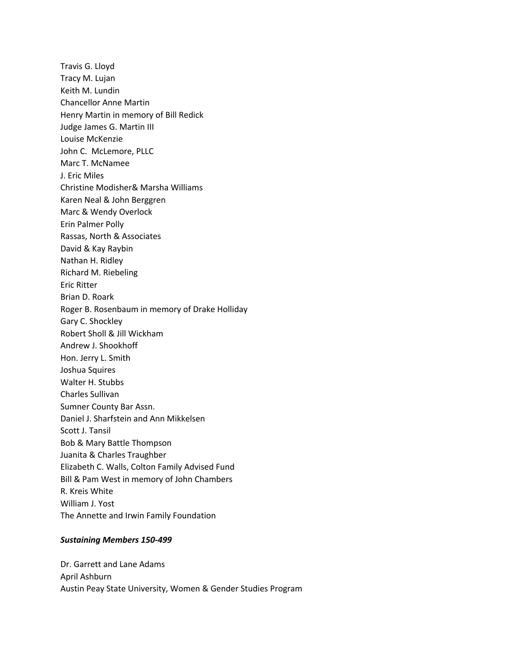Travis G. Lloyd Tracy M. Lujan Keith M. Lundin Chancellor Anne Martin Henry Martin in memory of Bill Redick Judge James G. Martin III Louise McKenzie John C. McLemore, PLLC Marc T. McNamee J. Eric Miles Christine Modisher& Marsha Williams Karen Neal & John Berggren Marc & Wendy Overlock Erin Palmer Polly Rassas, North & Associates David & Kay Raybin Nathan H. Ridley Richard M. Riebeling Eric Ritter Brian D. Roark Roger B. Rosenbaum in memory of Drake Holliday Gary C. Shockley Robert Sholl & Jill Wickham Andrew J. Shookhoff Hon. Jerry L. Smith Joshua Squires Walter H. Stubbs Charles Sullivan Sumner County Bar Assn. Daniel J. Sharfstein and Ann Mikkelsen Scott J. Tansil Bob & Mary Battle Thompson Juanita & Charles Traughber Elizabeth C. Walls, Colton Family Advised Fund Bill & Pam West in memory of John Chambers R. Kreis White William J. Yost The Annette and Irwin Family Foundation

### *Sustaining Members 150-499*

Dr. Garrett and Lane Adams April Ashburn Austin Peay State University, Women & Gender Studies Program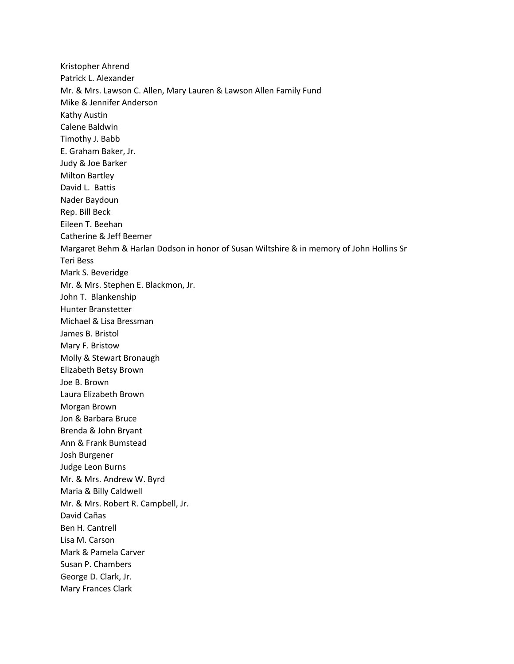Kristopher Ahrend Patrick L. Alexander Mr. & Mrs. Lawson C. Allen, Mary Lauren & Lawson Allen Family Fund Mike & Jennifer Anderson Kathy Austin Calene Baldwin Timothy J. Babb E. Graham Baker, Jr. Judy & Joe Barker Milton Bartley David L. Battis Nader Baydoun Rep. Bill Beck Eileen T. Beehan Catherine & Jeff Beemer Margaret Behm & Harlan Dodson in honor of Susan Wiltshire & in memory of John Hollins Sr Teri Bess Mark S. Beveridge Mr. & Mrs. Stephen E. Blackmon, Jr. John T. Blankenship Hunter Branstetter Michael & Lisa Bressman James B. Bristol Mary F. Bristow Molly & Stewart Bronaugh Elizabeth Betsy Brown Joe B. Brown Laura Elizabeth Brown Morgan Brown Jon & Barbara Bruce Brenda & John Bryant Ann & Frank Bumstead Josh Burgener Judge Leon Burns Mr. & Mrs. Andrew W. Byrd Maria & Billy Caldwell Mr. & Mrs. Robert R. Campbell, Jr. David Cañas Ben H. Cantrell Lisa M. Carson Mark & Pamela Carver Susan P. Chambers George D. Clark, Jr. Mary Frances Clark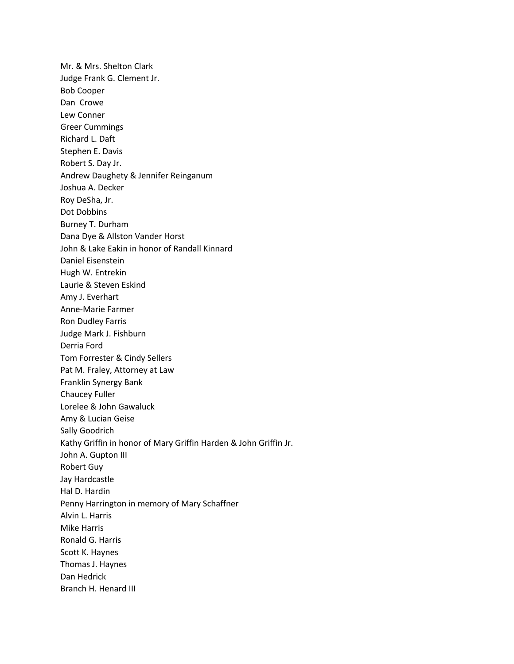Mr. & Mrs. Shelton Clark Judge Frank G. Clement Jr. Bob Cooper Dan Crowe Lew Conner Greer Cummings Richard L. Daft Stephen E. Davis Robert S. Day Jr. Andrew Daughety & Jennifer Reinganum Joshua A. Decker Roy DeSha, Jr. Dot Dobbins Burney T. Durham Dana Dye & Allston Vander Horst John & Lake Eakin in honor of Randall Kinnard Daniel Eisenstein Hugh W. Entrekin Laurie & Steven Eskind Amy J. Everhart Anne-Marie Farmer Ron Dudley Farris Judge Mark J. Fishburn Derria Ford Tom Forrester & Cindy Sellers Pat M. Fraley, Attorney at Law Franklin Synergy Bank Chaucey Fuller Lorelee & John Gawaluck Amy & Lucian Geise Sally Goodrich Kathy Griffin in honor of Mary Griffin Harden & John Griffin Jr. John A. Gupton III Robert Guy Jay Hardcastle Hal D. Hardin Penny Harrington in memory of Mary Schaffner Alvin L. Harris Mike Harris Ronald G. Harris Scott K. Haynes Thomas J. Haynes Dan Hedrick Branch H. Henard III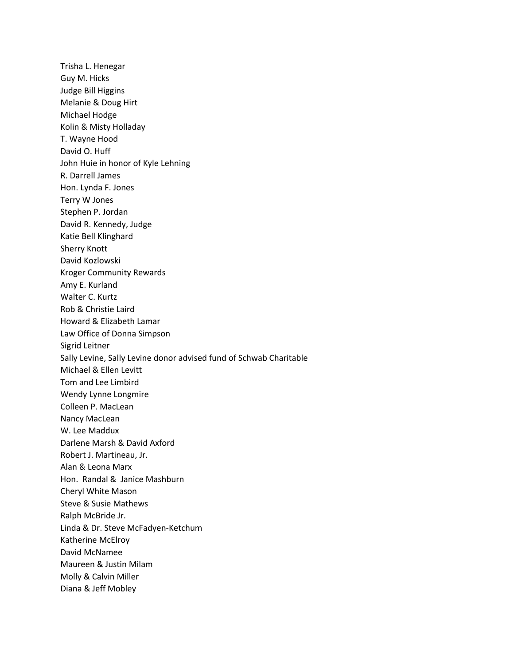Trisha L. Henegar Guy M. Hicks Judge Bill Higgins Melanie & Doug Hirt Michael Hodge Kolin & Misty Holladay T. Wayne Hood David O. Huff John Huie in honor of Kyle Lehning R. Darrell James Hon. Lynda F. Jones Terry W Jones Stephen P. Jordan David R. Kennedy, Judge Katie Bell Klinghard Sherry Knott David Kozlowski Kroger Community Rewards Amy E. Kurland Walter C. Kurtz Rob & Christie Laird Howard & Elizabeth Lamar Law Office of Donna Simpson Sigrid Leitner Sally Levine, Sally Levine donor advised fund of Schwab Charitable Michael & Ellen Levitt Tom and Lee Limbird Wendy Lynne Longmire Colleen P. MacLean Nancy MacLean W. Lee Maddux Darlene Marsh & David Axford Robert J. Martineau, Jr. Alan & Leona Marx Hon. Randal & Janice Mashburn Cheryl White Mason Steve & Susie Mathews Ralph McBride Jr. Linda & Dr. Steve McFadyen-Ketchum Katherine McElroy David McNamee Maureen & Justin Milam Molly & Calvin Miller Diana & Jeff Mobley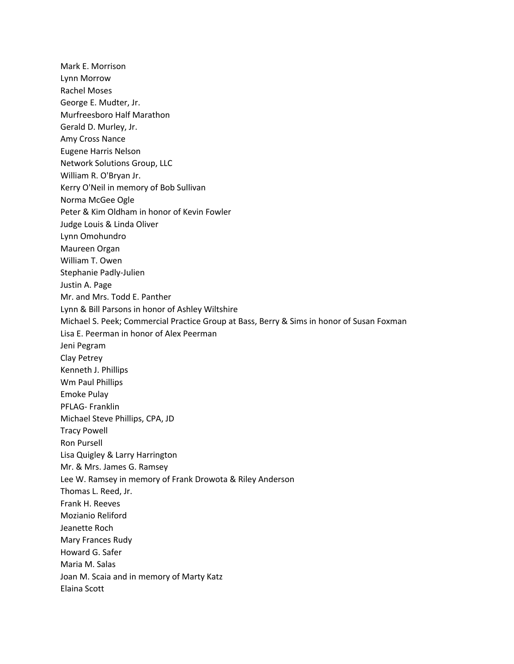Mark E. Morrison Lynn Morrow Rachel Moses George E. Mudter, Jr. Murfreesboro Half Marathon Gerald D. Murley, Jr. Amy Cross Nance Eugene Harris Nelson Network Solutions Group, LLC William R. O'Bryan Jr. Kerry O'Neil in memory of Bob Sullivan Norma McGee Ogle Peter & Kim Oldham in honor of Kevin Fowler Judge Louis & Linda Oliver Lynn Omohundro Maureen Organ William T. Owen Stephanie Padly-Julien Justin A. Page Mr. and Mrs. Todd E. Panther Lynn & Bill Parsons in honor of Ashley Wiltshire Michael S. Peek; Commercial Practice Group at Bass, Berry & Sims in honor of Susan Foxman Lisa E. Peerman in honor of Alex Peerman Jeni Pegram Clay Petrey Kenneth J. Phillips Wm Paul Phillips Emoke Pulay PFLAG- Franklin Michael Steve Phillips, CPA, JD Tracy Powell Ron Pursell Lisa Quigley & Larry Harrington Mr. & Mrs. James G. Ramsey Lee W. Ramsey in memory of Frank Drowota & Riley Anderson Thomas L. Reed, Jr. Frank H. Reeves Mozianio Reliford Jeanette Roch Mary Frances Rudy Howard G. Safer Maria M. Salas Joan M. Scaia and in memory of Marty Katz Elaina Scott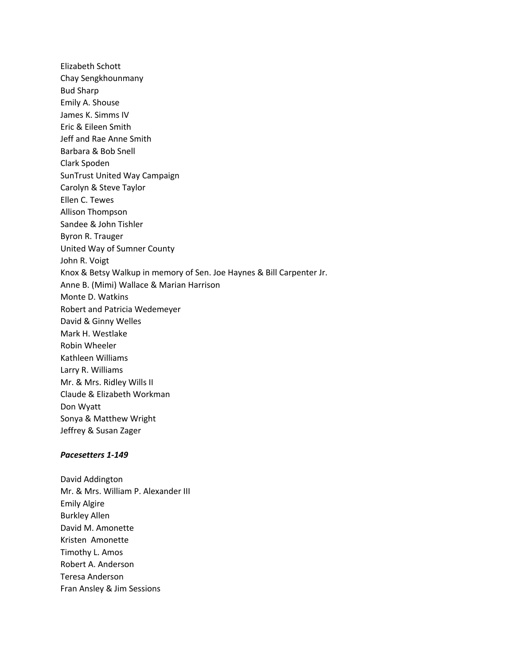Elizabeth Schott Chay Sengkhounmany Bud Sharp Emily A. Shouse James K. Simms IV Eric & Eileen Smith Jeff and Rae Anne Smith Barbara & Bob Snell Clark Spoden SunTrust United Way Campaign Carolyn & Steve Taylor Ellen C. Tewes Allison Thompson Sandee & John Tishler Byron R. Trauger United Way of Sumner County John R. Voigt Knox & Betsy Walkup in memory of Sen. Joe Haynes & Bill Carpenter Jr. Anne B. (Mimi) Wallace & Marian Harrison Monte D. Watkins Robert and Patricia Wedemeyer David & Ginny Welles Mark H. Westlake Robin Wheeler Kathleen Williams Larry R. Williams Mr. & Mrs. Ridley Wills II Claude & Elizabeth Workman Don Wyatt Sonya & Matthew Wright Jeffrey & Susan Zager

### *Pacesetters 1-149*

David Addington Mr. & Mrs. William P. Alexander III Emily Algire Burkley Allen David M. Amonette Kristen Amonette Timothy L. Amos Robert A. Anderson Teresa Anderson Fran Ansley & Jim Sessions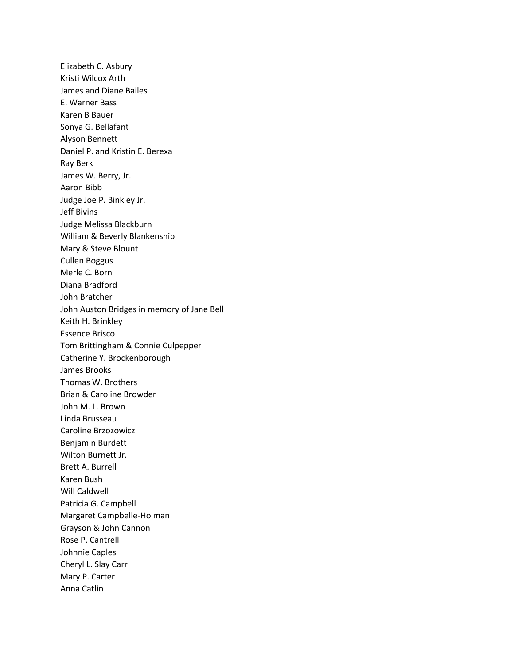Elizabeth C. Asbury Kristi Wilcox Arth James and Diane Bailes E. Warner Bass Karen B Bauer Sonya G. Bellafant Alyson Bennett Daniel P. and Kristin E. Berexa Ray Berk James W. Berry, Jr. Aaron Bibb Judge Joe P. Binkley Jr. Jeff Bivins Judge Melissa Blackburn William & Beverly Blankenship Mary & Steve Blount Cullen Boggus Merle C. Born Diana Bradford John Bratcher John Auston Bridges in memory of Jane Bell Keith H. Brinkley Essence Brisco Tom Brittingham & Connie Culpepper Catherine Y. Brockenborough James Brooks Thomas W. Brothers Brian & Caroline Browder John M. L. Brown Linda Brusseau Caroline Brzozowicz Benjamin Burdett Wilton Burnett Jr. Brett A. Burrell Karen Bush Will Caldwell Patricia G. Campbell Margaret Campbelle-Holman Grayson & John Cannon Rose P. Cantrell Johnnie Caples Cheryl L. Slay Carr Mary P. Carter Anna Catlin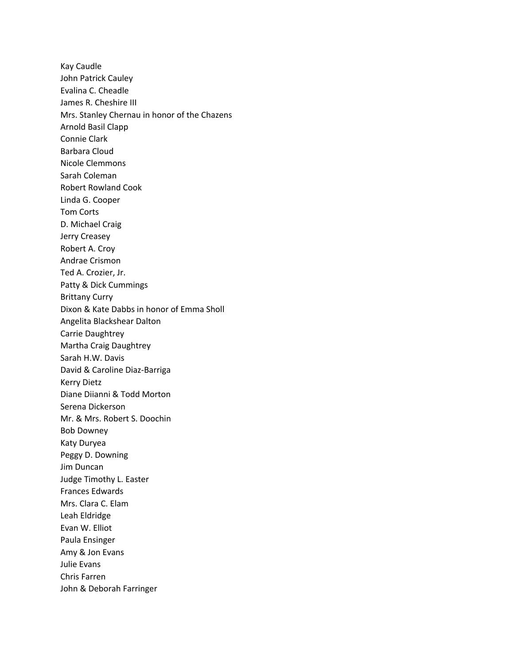Kay Caudle John Patrick Cauley Evalina C. Cheadle James R. Cheshire III Mrs. Stanley Chernau in honor of the Chazens Arnold Basil Clapp Connie Clark Barbara Cloud Nicole Clemmons Sarah Coleman Robert Rowland Cook Linda G. Cooper Tom Corts D. Michael Craig Jerry Creasey Robert A. Croy Andrae Crismon Ted A. Crozier, Jr. Patty & Dick Cummings Brittany Curry Dixon & Kate Dabbs in honor of Emma Sholl Angelita Blackshear Dalton Carrie Daughtrey Martha Craig Daughtrey Sarah H.W. Davis David & Caroline Diaz-Barriga Kerry Dietz Diane Diianni & Todd Morton Serena Dickerson Mr. & Mrs. Robert S. Doochin Bob Downey Katy Duryea Peggy D. Downing Jim Duncan Judge Timothy L. Easter Frances Edwards Mrs. Clara C. Elam Leah Eldridge Evan W. Elliot Paula Ensinger Amy & Jon Evans Julie Evans Chris Farren John & Deborah Farringer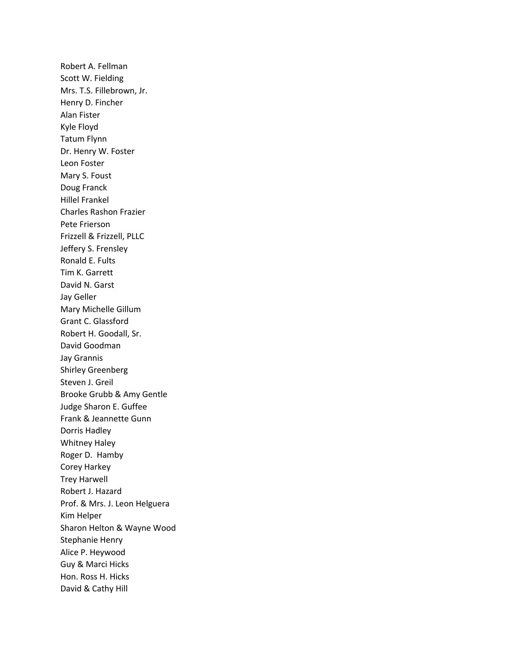Robert A. Fellman Scott W. Fielding Mrs. T.S. Fillebrown, Jr. Henry D. Fincher Alan Fister Kyle Floyd Tatum Flynn Dr. Henry W. Foster Leon Foster Mary S. Foust Doug Franck Hillel Frankel Charles Rashon Frazier Pete Frierson Frizzell & Frizzell, PLLC Jeffery S. Frensley Ronald E. Fults Tim K. Garrett David N. Garst Jay Geller Mary Michelle Gillum Grant C. Glassford Robert H. Goodall, Sr. David Goodman Jay Grannis Shirley Greenberg Steven J. Greil Brooke Grubb & Amy Gentle Judge Sharon E. Guffee Frank & Jeannette Gunn Dorris Hadley Whitney Haley Roger D. Hamby Corey Harkey Trey Harwell Robert J. Hazard Prof. & Mrs. J. Leon Helguera Kim Helper Sharon Helton & Wayne Wood Stephanie Henry Alice P. Heywood Guy & Marci Hicks Hon. Ross H. Hicks David & Cathy Hill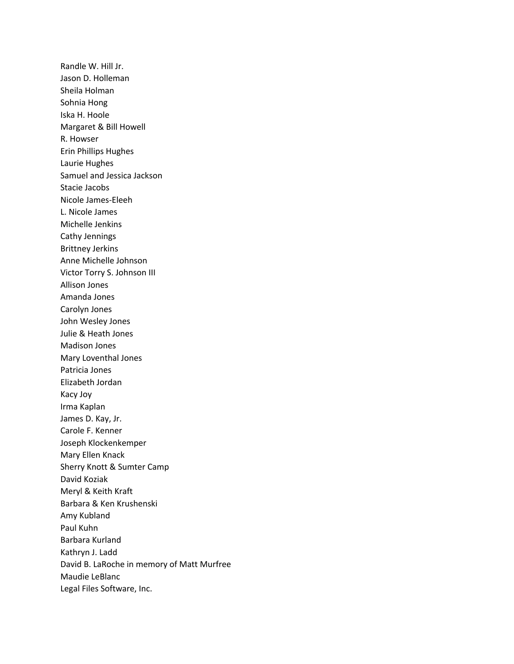Randle W. Hill Jr. Jason D. Holleman Sheila Holman Sohnia Hong Iska H. Hoole Margaret & Bill Howell R. Howser Erin Phillips Hughes Laurie Hughes Samuel and Jessica Jackson Stacie Jacobs Nicole James-Eleeh L. Nicole James Michelle Jenkins Cathy Jennings Brittney Jerkins Anne Michelle Johnson Victor Torry S. Johnson III Allison Jones Amanda Jones Carolyn Jones John Wesley Jones Julie & Heath Jones Madison Jones Mary Loventhal Jones Patricia Jones Elizabeth Jordan Kacy Joy Irma Kaplan James D. Kay, Jr. Carole F. Kenner Joseph Klockenkemper Mary Ellen Knack Sherry Knott & Sumter Camp David Koziak Meryl & Keith Kraft Barbara & Ken Krushenski Amy Kubland Paul Kuhn Barbara Kurland Kathryn J. Ladd David B. LaRoche in memory of Matt Murfree Maudie LeBlanc Legal Files Software, Inc.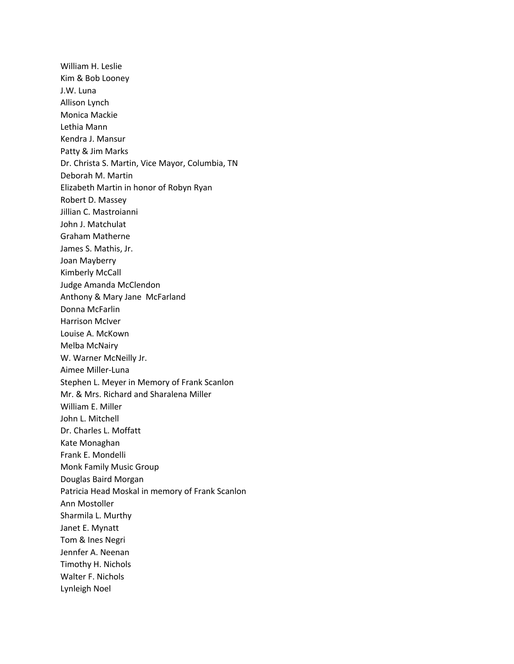William H. Leslie Kim & Bob Looney J.W. Luna Allison Lynch Monica Mackie Lethia Mann Kendra J. Mansur Patty & Jim Marks Dr. Christa S. Martin, Vice Mayor, Columbia, TN Deborah M. Martin Elizabeth Martin in honor of Robyn Ryan Robert D. Massey Jillian C. Mastroianni John J. Matchulat Graham Matherne James S. Mathis, Jr. Joan Mayberry Kimberly McCall Judge Amanda McClendon Anthony & Mary Jane McFarland Donna McFarlin Harrison McIver Louise A. McKown Melba McNairy W. Warner McNeilly Jr. Aimee Miller-Luna Stephen L. Meyer in Memory of Frank Scanlon Mr. & Mrs. Richard and Sharalena Miller William E. Miller John L. Mitchell Dr. Charles L. Moffatt Kate Monaghan Frank E. Mondelli Monk Family Music Group Douglas Baird Morgan Patricia Head Moskal in memory of Frank Scanlon Ann Mostoller Sharmila L. Murthy Janet E. Mynatt Tom & Ines Negri Jennfer A. Neenan Timothy H. Nichols Walter F. Nichols Lynleigh Noel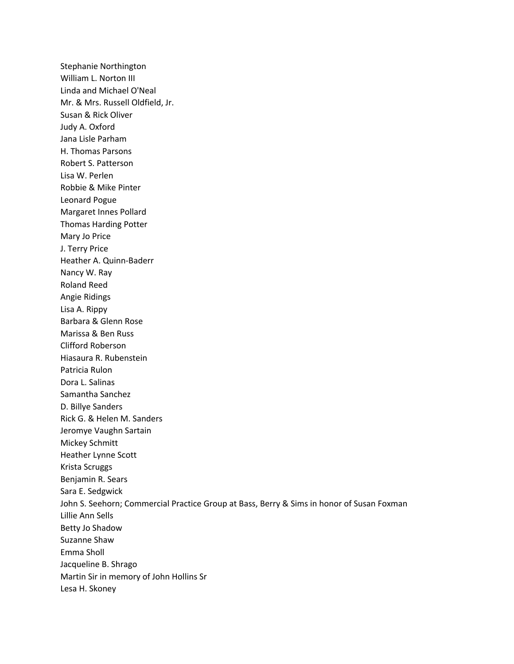Stephanie Northington William L. Norton III Linda and Michael O'Neal Mr. & Mrs. Russell Oldfield, Jr. Susan & Rick Oliver Judy A. Oxford Jana Lisle Parham H. Thomas Parsons Robert S. Patterson Lisa W. Perlen Robbie & Mike Pinter Leonard Pogue Margaret Innes Pollard Thomas Harding Potter Mary Jo Price J. Terry Price Heather A. Quinn-Baderr Nancy W. Ray Roland Reed Angie Ridings Lisa A. Rippy Barbara & Glenn Rose Marissa & Ben Russ Clifford Roberson Hiasaura R. Rubenstein Patricia Rulon Dora L. Salinas Samantha Sanchez D. Billye Sanders Rick G. & Helen M. Sanders Jeromye Vaughn Sartain Mickey Schmitt Heather Lynne Scott Krista Scruggs Benjamin R. Sears Sara E. Sedgwick John S. Seehorn; Commercial Practice Group at Bass, Berry & Sims in honor of Susan Foxman Lillie Ann Sells Betty Jo Shadow Suzanne Shaw Emma Sholl Jacqueline B. Shrago Martin Sir in memory of John Hollins Sr Lesa H. Skoney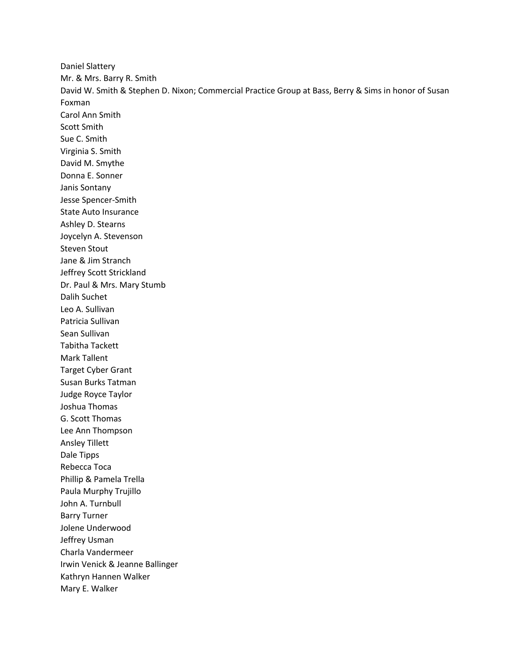Daniel Slattery Mr. & Mrs. Barry R. Smith David W. Smith & Stephen D. Nixon; Commercial Practice Group at Bass, Berry & Sims in honor of Susan Foxman Carol Ann Smith Scott Smith Sue C. Smith Virginia S. Smith David M. Smythe Donna E. Sonner Janis Sontany Jesse Spencer-Smith State Auto Insurance Ashley D. Stearns Joycelyn A. Stevenson Steven Stout Jane & Jim Stranch Jeffrey Scott Strickland Dr. Paul & Mrs. Mary Stumb Dalih Suchet Leo A. Sullivan Patricia Sullivan Sean Sullivan Tabitha Tackett Mark Tallent Target Cyber Grant Susan Burks Tatman Judge Royce Taylor Joshua Thomas G. Scott Thomas Lee Ann Thompson Ansley Tillett Dale Tipps Rebecca Toca Phillip & Pamela Trella Paula Murphy Trujillo John A. Turnbull Barry Turner Jolene Underwood Jeffrey Usman Charla Vandermeer Irwin Venick & Jeanne Ballinger Kathryn Hannen Walker Mary E. Walker